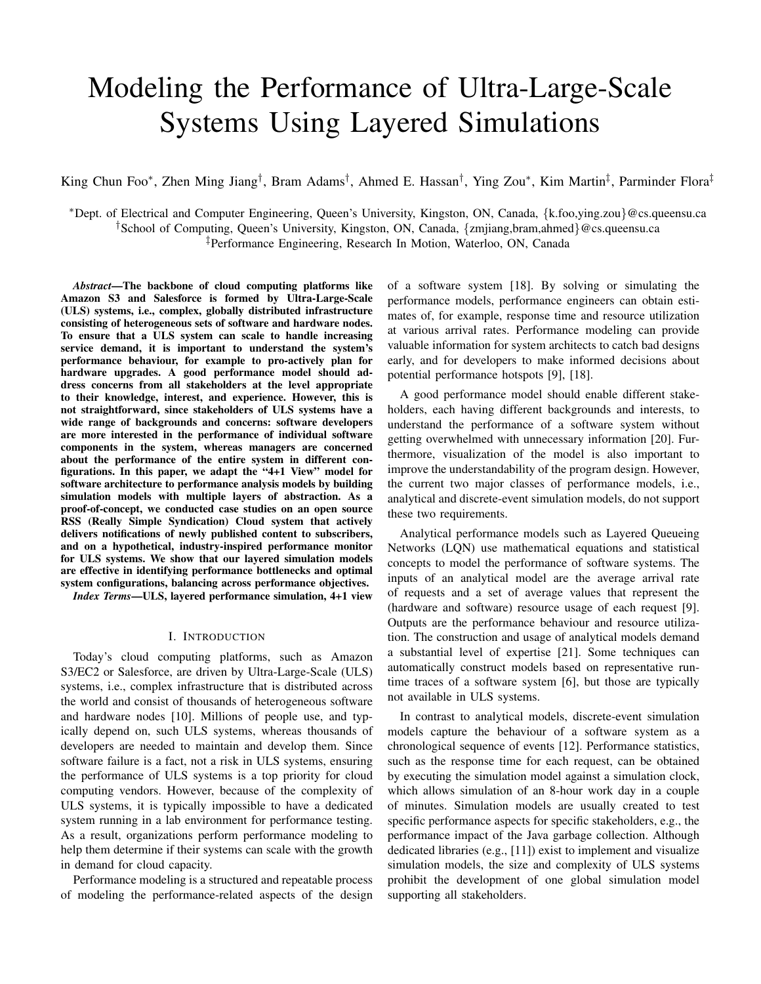# Modeling the Performance of Ultra-Large-Scale Systems Using Layered Simulations

King Chun Foo\*, Zhen Ming Jiang<sup>†</sup>, Bram Adams<sup>†</sup>, Ahmed E. Hassan<sup>†</sup>, Ying Zou\*, Kim Martin<sup>‡</sup>, Parminder Flora<sup>‡</sup>

<sup>∗</sup>Dept. of Electrical and Computer Engineering, Queen's University, Kingston, ON, Canada, {k.foo,ying.zou}@cs.queensu.ca †School of Computing, Queen's University, Kingston, ON, Canada, {zmjiang,bram,ahmed}@cs.queensu.ca ‡Performance Engineering, Research In Motion, Waterloo, ON, Canada

*Abstract*—The backbone of cloud computing platforms like Amazon S3 and Salesforce is formed by Ultra-Large-Scale (ULS) systems, i.e., complex, globally distributed infrastructure consisting of heterogeneous sets of software and hardware nodes. To ensure that a ULS system can scale to handle increasing service demand, it is important to understand the system's performance behaviour, for example to pro-actively plan for hardware upgrades. A good performance model should address concerns from all stakeholders at the level appropriate to their knowledge, interest, and experience. However, this is not straightforward, since stakeholders of ULS systems have a wide range of backgrounds and concerns: software developers are more interested in the performance of individual software components in the system, whereas managers are concerned about the performance of the entire system in different configurations. In this paper, we adapt the "4+1 View" model for software architecture to performance analysis models by building simulation models with multiple layers of abstraction. As a proof-of-concept, we conducted case studies on an open source RSS (Really Simple Syndication) Cloud system that actively delivers notifications of newly published content to subscribers, and on a hypothetical, industry-inspired performance monitor for ULS systems. We show that our layered simulation models are effective in identifying performance bottlenecks and optimal system configurations, balancing across performance objectives. *Index Terms*—ULS, layered performance simulation, 4+1 view

#### I. INTRODUCTION

Today's cloud computing platforms, such as Amazon S3/EC2 or Salesforce, are driven by Ultra-Large-Scale (ULS) systems, i.e., complex infrastructure that is distributed across the world and consist of thousands of heterogeneous software and hardware nodes [10]. Millions of people use, and typically depend on, such ULS systems, whereas thousands of developers are needed to maintain and develop them. Since software failure is a fact, not a risk in ULS systems, ensuring the performance of ULS systems is a top priority for cloud computing vendors. However, because of the complexity of ULS systems, it is typically impossible to have a dedicated system running in a lab environment for performance testing. As a result, organizations perform performance modeling to help them determine if their systems can scale with the growth in demand for cloud capacity.

Performance modeling is a structured and repeatable process of modeling the performance-related aspects of the design of a software system [18]. By solving or simulating the performance models, performance engineers can obtain estimates of, for example, response time and resource utilization at various arrival rates. Performance modeling can provide valuable information for system architects to catch bad designs early, and for developers to make informed decisions about potential performance hotspots [9], [18].

A good performance model should enable different stakeholders, each having different backgrounds and interests, to understand the performance of a software system without getting overwhelmed with unnecessary information [20]. Furthermore, visualization of the model is also important to improve the understandability of the program design. However, the current two major classes of performance models, i.e., analytical and discrete-event simulation models, do not support these two requirements.

Analytical performance models such as Layered Queueing Networks (LQN) use mathematical equations and statistical concepts to model the performance of software systems. The inputs of an analytical model are the average arrival rate of requests and a set of average values that represent the (hardware and software) resource usage of each request [9]. Outputs are the performance behaviour and resource utilization. The construction and usage of analytical models demand a substantial level of expertise [21]. Some techniques can automatically construct models based on representative runtime traces of a software system [6], but those are typically not available in ULS systems.

In contrast to analytical models, discrete-event simulation models capture the behaviour of a software system as a chronological sequence of events [12]. Performance statistics, such as the response time for each request, can be obtained by executing the simulation model against a simulation clock, which allows simulation of an 8-hour work day in a couple of minutes. Simulation models are usually created to test specific performance aspects for specific stakeholders, e.g., the performance impact of the Java garbage collection. Although dedicated libraries (e.g., [11]) exist to implement and visualize simulation models, the size and complexity of ULS systems prohibit the development of one global simulation model supporting all stakeholders.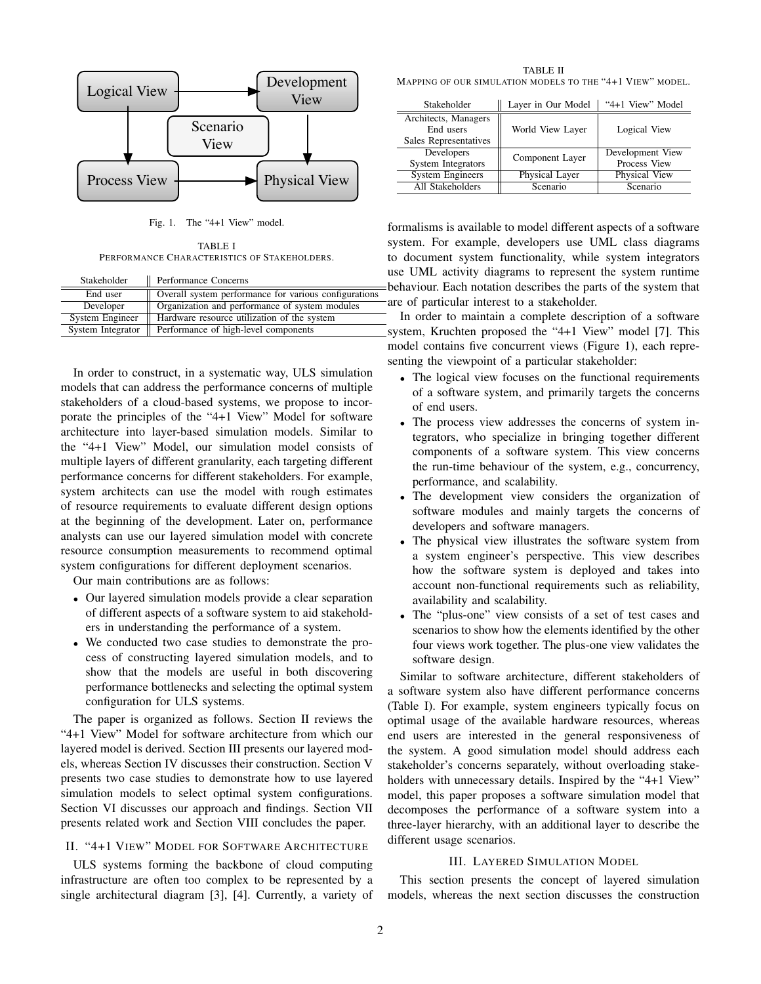

Fig. 1. The "4+1 View" model.

TABLE I PERFORMANCE CHARACTERISTICS OF STAKEHOLDERS.

| Stakeholder            | Performance Concerns                                  |
|------------------------|-------------------------------------------------------|
| End user               | Overall system performance for various configurations |
| Developer              | Organization and performance of system modules        |
| <b>System Engineer</b> | Hardware resource utilization of the system           |
| System Integrator      | Performance of high-level components                  |

In order to construct, in a systematic way, ULS simulation models that can address the performance concerns of multiple stakeholders of a cloud-based systems, we propose to incorporate the principles of the "4+1 View" Model for software architecture into layer-based simulation models. Similar to the "4+1 View" Model, our simulation model consists of multiple layers of different granularity, each targeting different performance concerns for different stakeholders. For example, system architects can use the model with rough estimates of resource requirements to evaluate different design options at the beginning of the development. Later on, performance analysts can use our layered simulation model with concrete resource consumption measurements to recommend optimal system configurations for different deployment scenarios.

Our main contributions are as follows:

- Our layered simulation models provide a clear separation of different aspects of a software system to aid stakeholders in understanding the performance of a system.
- We conducted two case studies to demonstrate the process of constructing layered simulation models, and to show that the models are useful in both discovering performance bottlenecks and selecting the optimal system configuration for ULS systems.

The paper is organized as follows. Section II reviews the "4+1 View" Model for software architecture from which our layered model is derived. Section III presents our layered models, whereas Section IV discusses their construction. Section V presents two case studies to demonstrate how to use layered simulation models to select optimal system configurations. Section VI discusses our approach and findings. Section VII presents related work and Section VIII concludes the paper.

# II. "4+1 VIEW" MODEL FOR SOFTWARE ARCHITECTURE

ULS systems forming the backbone of cloud computing infrastructure are often too complex to be represented by a single architectural diagram [3], [4]. Currently, a variety of

TABLE II MAPPING OF OUR SIMULATION MODELS TO THE "4+1 VIEW" MODEL.

| Stakeholder                                                | Layer in Our Model | "4+1 View" Model                 |
|------------------------------------------------------------|--------------------|----------------------------------|
| Architects, Managers<br>End users<br>Sales Representatives | World View Layer   | Logical View                     |
| Developers<br><b>System Integrators</b>                    | Component Layer    | Development View<br>Process View |
| <b>System Engineers</b>                                    | Physical Layer     | Physical View                    |
| All Stakeholders                                           | Scenario           | Scenario                         |

formalisms is available to model different aspects of a software system. For example, developers use UML class diagrams to document system functionality, while system integrators use UML activity diagrams to represent the system runtime behaviour. Each notation describes the parts of the system that are of particular interest to a stakeholder.

In order to maintain a complete description of a software system, Kruchten proposed the "4+1 View" model [7]. This model contains five concurrent views (Figure 1), each representing the viewpoint of a particular stakeholder:

- The logical view focuses on the functional requirements of a software system, and primarily targets the concerns of end users.
- The process view addresses the concerns of system integrators, who specialize in bringing together different components of a software system. This view concerns the run-time behaviour of the system, e.g., concurrency, performance, and scalability.
- The development view considers the organization of software modules and mainly targets the concerns of developers and software managers.
- The physical view illustrates the software system from a system engineer's perspective. This view describes how the software system is deployed and takes into account non-functional requirements such as reliability, availability and scalability.
- The "plus-one" view consists of a set of test cases and scenarios to show how the elements identified by the other four views work together. The plus-one view validates the software design.

Similar to software architecture, different stakeholders of a software system also have different performance concerns (Table I). For example, system engineers typically focus on optimal usage of the available hardware resources, whereas end users are interested in the general responsiveness of the system. A good simulation model should address each stakeholder's concerns separately, without overloading stakeholders with unnecessary details. Inspired by the "4+1 View" model, this paper proposes a software simulation model that decomposes the performance of a software system into a three-layer hierarchy, with an additional layer to describe the different usage scenarios.

# III. LAYERED SIMULATION MODEL

This section presents the concept of layered simulation models, whereas the next section discusses the construction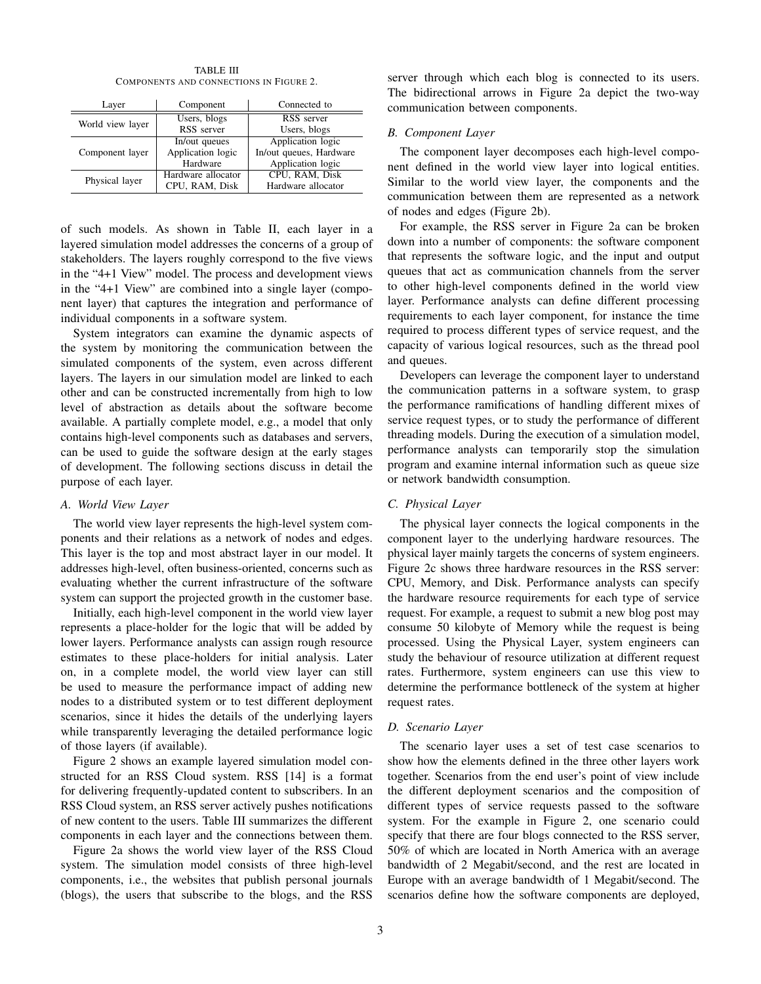TABLE III COMPONENTS AND CONNECTIONS IN FIGURE 2.

| Layer            | Component          | Connected to            |  |
|------------------|--------------------|-------------------------|--|
|                  | Users, blogs       | RSS server              |  |
| World view layer | RSS server         | Users, blogs            |  |
|                  | In/out queues      | Application logic       |  |
| Component layer  | Application logic  | In/out queues, Hardware |  |
|                  | Hardware           | Application logic       |  |
| Physical layer   | Hardware allocator | CPU, RAM, Disk          |  |
|                  | CPU, RAM, Disk     | Hardware allocator      |  |

of such models. As shown in Table II, each layer in a layered simulation model addresses the concerns of a group of stakeholders. The layers roughly correspond to the five views in the "4+1 View" model. The process and development views in the "4+1 View" are combined into a single layer (component layer) that captures the integration and performance of individual components in a software system.

System integrators can examine the dynamic aspects of the system by monitoring the communication between the simulated components of the system, even across different layers. The layers in our simulation model are linked to each other and can be constructed incrementally from high to low level of abstraction as details about the software become available. A partially complete model, e.g., a model that only contains high-level components such as databases and servers, can be used to guide the software design at the early stages of development. The following sections discuss in detail the purpose of each layer.

# *A. World View Layer*

The world view layer represents the high-level system components and their relations as a network of nodes and edges. This layer is the top and most abstract layer in our model. It addresses high-level, often business-oriented, concerns such as evaluating whether the current infrastructure of the software system can support the projected growth in the customer base.

Initially, each high-level component in the world view layer represents a place-holder for the logic that will be added by lower layers. Performance analysts can assign rough resource estimates to these place-holders for initial analysis. Later on, in a complete model, the world view layer can still be used to measure the performance impact of adding new nodes to a distributed system or to test different deployment scenarios, since it hides the details of the underlying layers while transparently leveraging the detailed performance logic of those layers (if available).

Figure 2 shows an example layered simulation model constructed for an RSS Cloud system. RSS [14] is a format for delivering frequently-updated content to subscribers. In an RSS Cloud system, an RSS server actively pushes notifications of new content to the users. Table III summarizes the different components in each layer and the connections between them.

Figure 2a shows the world view layer of the RSS Cloud system. The simulation model consists of three high-level components, i.e., the websites that publish personal journals (blogs), the users that subscribe to the blogs, and the RSS server through which each blog is connected to its users. The bidirectional arrows in Figure 2a depict the two-way communication between components.

## *B. Component Layer*

The component layer decomposes each high-level component defined in the world view layer into logical entities. Similar to the world view layer, the components and the communication between them are represented as a network of nodes and edges (Figure 2b).

For example, the RSS server in Figure 2a can be broken down into a number of components: the software component that represents the software logic, and the input and output queues that act as communication channels from the server to other high-level components defined in the world view layer. Performance analysts can define different processing requirements to each layer component, for instance the time required to process different types of service request, and the capacity of various logical resources, such as the thread pool and queues.

Developers can leverage the component layer to understand the communication patterns in a software system, to grasp the performance ramifications of handling different mixes of service request types, or to study the performance of different threading models. During the execution of a simulation model, performance analysts can temporarily stop the simulation program and examine internal information such as queue size or network bandwidth consumption.

# *C. Physical Layer*

The physical layer connects the logical components in the component layer to the underlying hardware resources. The physical layer mainly targets the concerns of system engineers. Figure 2c shows three hardware resources in the RSS server: CPU, Memory, and Disk. Performance analysts can specify the hardware resource requirements for each type of service request. For example, a request to submit a new blog post may consume 50 kilobyte of Memory while the request is being processed. Using the Physical Layer, system engineers can study the behaviour of resource utilization at different request rates. Furthermore, system engineers can use this view to determine the performance bottleneck of the system at higher request rates.

#### *D. Scenario Layer*

The scenario layer uses a set of test case scenarios to show how the elements defined in the three other layers work together. Scenarios from the end user's point of view include the different deployment scenarios and the composition of different types of service requests passed to the software system. For the example in Figure 2, one scenario could specify that there are four blogs connected to the RSS server, 50% of which are located in North America with an average bandwidth of 2 Megabit/second, and the rest are located in Europe with an average bandwidth of 1 Megabit/second. The scenarios define how the software components are deployed,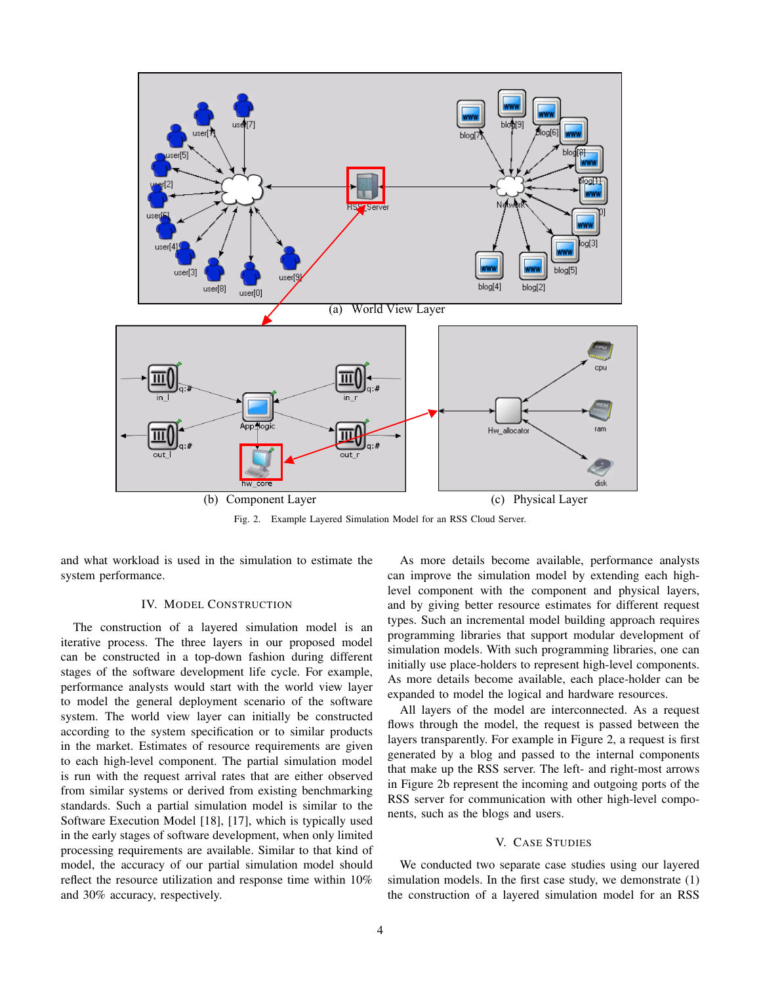

Fig. 2. Example Layered Simulation Model for an RSS Cloud Server.

and what workload is used in the simulation to estimate the system performance.

#### IV. MODEL CONSTRUCTION

The construction of a layered simulation model is an iterative process. The three layers in our proposed model can be constructed in a top-down fashion during different stages of the software development life cycle. For example, performance analysts would start with the world view layer to model the general deployment scenario of the software system. The world view layer can initially be constructed according to the system specification or to similar products in the market. Estimates of resource requirements are given to each high-level component. The partial simulation model is run with the request arrival rates that are either observed from similar systems or derived from existing benchmarking standards. Such a partial simulation model is similar to the Software Execution Model [18], [17], which is typically used in the early stages of software development, when only limited processing requirements are available. Similar to that kind of model, the accuracy of our partial simulation model should reflect the resource utilization and response time within 10% and 30% accuracy, respectively.

As more details become available, performance analysts can improve the simulation model by extending each highlevel component with the component and physical layers, and by giving better resource estimates for different request types. Such an incremental model building approach requires programming libraries that support modular development of simulation models. With such programming libraries, one can initially use place-holders to represent high-level components. As more details become available, each place-holder can be expanded to model the logical and hardware resources.

All layers of the model are interconnected. As a request flows through the model, the request is passed between the layers transparently. For example in Figure 2, a request is first generated by a blog and passed to the internal components that make up the RSS server. The left- and right-most arrows in Figure 2b represent the incoming and outgoing ports of the RSS server for communication with other high-level components, such as the blogs and users.

### V. CASE STUDIES

We conducted two separate case studies using our layered simulation models. In the first case study, we demonstrate (1) the construction of a layered simulation model for an RSS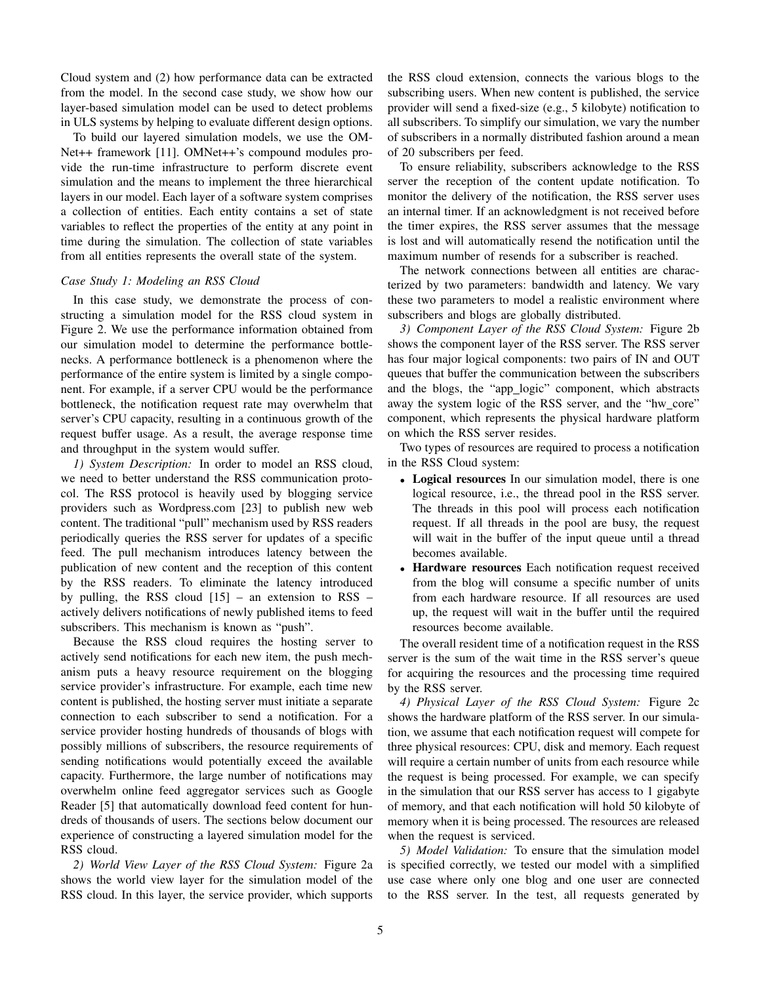Cloud system and (2) how performance data can be extracted from the model. In the second case study, we show how our layer-based simulation model can be used to detect problems in ULS systems by helping to evaluate different design options.

To build our layered simulation models, we use the OM-Net++ framework [11]. OMNet++'s compound modules provide the run-time infrastructure to perform discrete event simulation and the means to implement the three hierarchical layers in our model. Each layer of a software system comprises a collection of entities. Each entity contains a set of state variables to reflect the properties of the entity at any point in time during the simulation. The collection of state variables from all entities represents the overall state of the system.

#### *Case Study 1: Modeling an RSS Cloud*

In this case study, we demonstrate the process of constructing a simulation model for the RSS cloud system in Figure 2. We use the performance information obtained from our simulation model to determine the performance bottlenecks. A performance bottleneck is a phenomenon where the performance of the entire system is limited by a single component. For example, if a server CPU would be the performance bottleneck, the notification request rate may overwhelm that server's CPU capacity, resulting in a continuous growth of the request buffer usage. As a result, the average response time and throughput in the system would suffer.

*1) System Description:* In order to model an RSS cloud, we need to better understand the RSS communication protocol. The RSS protocol is heavily used by blogging service providers such as Wordpress.com [23] to publish new web content. The traditional "pull" mechanism used by RSS readers periodically queries the RSS server for updates of a specific feed. The pull mechanism introduces latency between the publication of new content and the reception of this content by the RSS readers. To eliminate the latency introduced by pulling, the RSS cloud  $[15]$  – an extension to RSS – actively delivers notifications of newly published items to feed subscribers. This mechanism is known as "push".

Because the RSS cloud requires the hosting server to actively send notifications for each new item, the push mechanism puts a heavy resource requirement on the blogging service provider's infrastructure. For example, each time new content is published, the hosting server must initiate a separate connection to each subscriber to send a notification. For a service provider hosting hundreds of thousands of blogs with possibly millions of subscribers, the resource requirements of sending notifications would potentially exceed the available capacity. Furthermore, the large number of notifications may overwhelm online feed aggregator services such as Google Reader [5] that automatically download feed content for hundreds of thousands of users. The sections below document our experience of constructing a layered simulation model for the RSS cloud.

*2) World View Layer of the RSS Cloud System:* Figure 2a shows the world view layer for the simulation model of the RSS cloud. In this layer, the service provider, which supports the RSS cloud extension, connects the various blogs to the subscribing users. When new content is published, the service provider will send a fixed-size (e.g., 5 kilobyte) notification to all subscribers. To simplify our simulation, we vary the number of subscribers in a normally distributed fashion around a mean of 20 subscribers per feed.

To ensure reliability, subscribers acknowledge to the RSS server the reception of the content update notification. To monitor the delivery of the notification, the RSS server uses an internal timer. If an acknowledgment is not received before the timer expires, the RSS server assumes that the message is lost and will automatically resend the notification until the maximum number of resends for a subscriber is reached.

The network connections between all entities are characterized by two parameters: bandwidth and latency. We vary these two parameters to model a realistic environment where subscribers and blogs are globally distributed.

*3) Component Layer of the RSS Cloud System:* Figure 2b shows the component layer of the RSS server. The RSS server has four major logical components: two pairs of IN and OUT queues that buffer the communication between the subscribers and the blogs, the "app logic" component, which abstracts away the system logic of the RSS server, and the "hw\_core" component, which represents the physical hardware platform on which the RSS server resides.

Two types of resources are required to process a notification in the RSS Cloud system:

- Logical resources In our simulation model, there is one logical resource, i.e., the thread pool in the RSS server. The threads in this pool will process each notification request. If all threads in the pool are busy, the request will wait in the buffer of the input queue until a thread becomes available.
- Hardware resources Each notification request received from the blog will consume a specific number of units from each hardware resource. If all resources are used up, the request will wait in the buffer until the required resources become available.

The overall resident time of a notification request in the RSS server is the sum of the wait time in the RSS server's queue for acquiring the resources and the processing time required by the RSS server.

*4) Physical Layer of the RSS Cloud System:* Figure 2c shows the hardware platform of the RSS server. In our simulation, we assume that each notification request will compete for three physical resources: CPU, disk and memory. Each request will require a certain number of units from each resource while the request is being processed. For example, we can specify in the simulation that our RSS server has access to 1 gigabyte of memory, and that each notification will hold 50 kilobyte of memory when it is being processed. The resources are released when the request is serviced.

*5) Model Validation:* To ensure that the simulation model is specified correctly, we tested our model with a simplified use case where only one blog and one user are connected to the RSS server. In the test, all requests generated by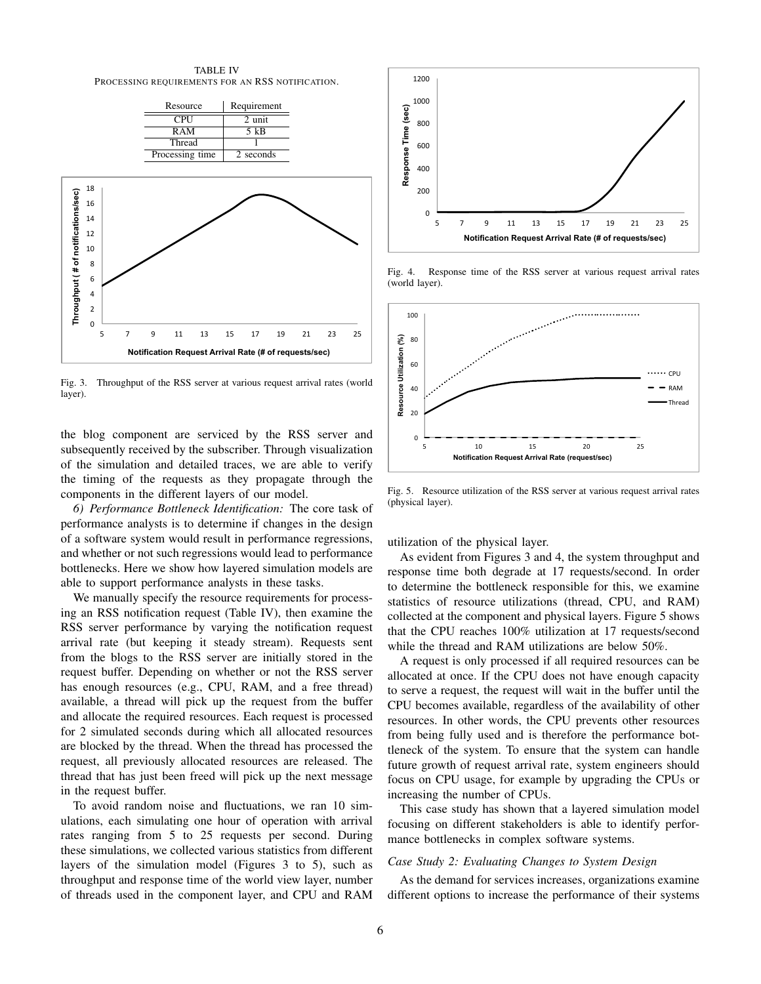TABLE IV PROCESSING REQUIREMENTS FOR AN RSS NOTIFICATION.





Fig. 3. Throughput of the RSS server at various request arrival rates (world layer).

the blog component are serviced by the RSS server and subsequently received by the subscriber. Through visualization of the simulation and detailed traces, we are able to verify the timing of the requests as they propagate through the components in the different layers of our model.

*6) Performance Bottleneck Identification:* The core task of performance analysts is to determine if changes in the design of a software system would result in performance regressions, and whether or not such regressions would lead to performance bottlenecks. Here we show how layered simulation models are able to support performance analysts in these tasks.

We manually specify the resource requirements for processing an RSS notification request (Table IV), then examine the RSS server performance by varying the notification request arrival rate (but keeping it steady stream). Requests sent from the blogs to the RSS server are initially stored in the request buffer. Depending on whether or not the RSS server has enough resources (e.g., CPU, RAM, and a free thread) available, a thread will pick up the request from the buffer and allocate the required resources. Each request is processed for 2 simulated seconds during which all allocated resources are blocked by the thread. When the thread has processed the request, all previously allocated resources are released. The thread that has just been freed will pick up the next message in the request buffer.

To avoid random noise and fluctuations, we ran 10 simulations, each simulating one hour of operation with arrival rates ranging from 5 to 25 requests per second. During these simulations, we collected various statistics from different layers of the simulation model (Figures 3 to 5), such as throughput and response time of the world view layer, number of threads used in the component layer, and CPU and RAM



Fig. 4. Response time of the RSS server at various request arrival rates (world layer).



Fig. 5. Resource utilization of the RSS server at various request arrival rates (physical layer).

utilization of the physical layer.

As evident from Figures 3 and 4, the system throughput and response time both degrade at 17 requests/second. In order to determine the bottleneck responsible for this, we examine statistics of resource utilizations (thread, CPU, and RAM) collected at the component and physical layers. Figure 5 shows that the CPU reaches 100% utilization at 17 requests/second while the thread and RAM utilizations are below 50%.

A request is only processed if all required resources can be allocated at once. If the CPU does not have enough capacity to serve a request, the request will wait in the buffer until the CPU becomes available, regardless of the availability of other resources. In other words, the CPU prevents other resources from being fully used and is therefore the performance bottleneck of the system. To ensure that the system can handle future growth of request arrival rate, system engineers should focus on CPU usage, for example by upgrading the CPUs or increasing the number of CPUs.

This case study has shown that a layered simulation model focusing on different stakeholders is able to identify performance bottlenecks in complex software systems.

## *Case Study 2: Evaluating Changes to System Design*

As the demand for services increases, organizations examine different options to increase the performance of their systems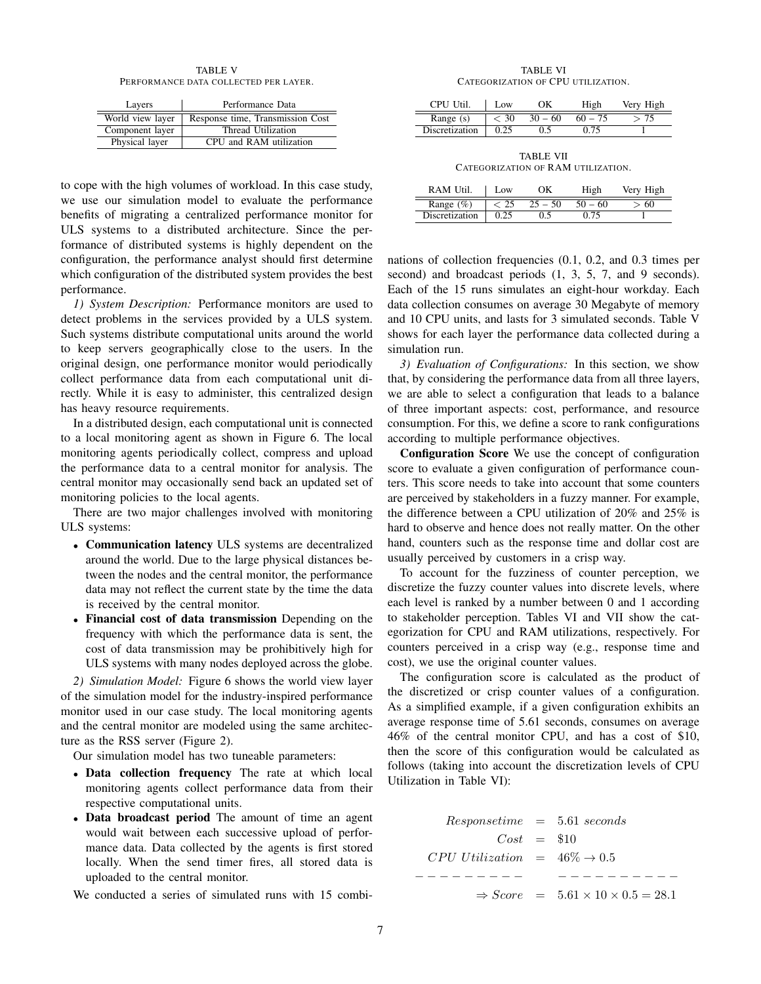TABLE V PERFORMANCE DATA COLLECTED PER LAYER.

| Layers           | Performance Data                 |
|------------------|----------------------------------|
| World view layer | Response time, Transmission Cost |
| Component layer  | Thread Utilization               |
| Physical layer   | CPU and RAM utilization          |

to cope with the high volumes of workload. In this case study, we use our simulation model to evaluate the performance benefits of migrating a centralized performance monitor for ULS systems to a distributed architecture. Since the performance of distributed systems is highly dependent on the configuration, the performance analyst should first determine which configuration of the distributed system provides the best performance.

*1) System Description:* Performance monitors are used to detect problems in the services provided by a ULS system. Such systems distribute computational units around the world to keep servers geographically close to the users. In the original design, one performance monitor would periodically collect performance data from each computational unit directly. While it is easy to administer, this centralized design has heavy resource requirements.

In a distributed design, each computational unit is connected to a local monitoring agent as shown in Figure 6. The local monitoring agents periodically collect, compress and upload the performance data to a central monitor for analysis. The central monitor may occasionally send back an updated set of monitoring policies to the local agents.

There are two major challenges involved with monitoring ULS systems:

- Communication latency ULS systems are decentralized around the world. Due to the large physical distances between the nodes and the central monitor, the performance data may not reflect the current state by the time the data is received by the central monitor.
- Financial cost of data transmission Depending on the frequency with which the performance data is sent, the cost of data transmission may be prohibitively high for ULS systems with many nodes deployed across the globe.

*2) Simulation Model:* Figure 6 shows the world view layer of the simulation model for the industry-inspired performance monitor used in our case study. The local monitoring agents and the central monitor are modeled using the same architecture as the RSS server (Figure 2).

Our simulation model has two tuneable parameters:

- Data collection frequency The rate at which local monitoring agents collect performance data from their respective computational units.
- Data broadcast period The amount of time an agent would wait between each successive upload of performance data. Data collected by the agents is first stored locally. When the send timer fires, all stored data is uploaded to the central monitor.

We conducted a series of simulated runs with 15 combi-

TABLE VI CATEGORIZATION OF CPU UTILIZATION.

| CPU Util.      | Low    | ЭK        | High      | Very High |
|----------------|--------|-----------|-----------|-----------|
| Range $(s)$    | $<$ 30 | $30 - 60$ | $60 - 75$ |           |
| Discretization | 0.25   |           |           |           |

TABLE VII CATEGORIZATION OF RAM UTILIZATION.

| <b>RAM Util</b> | Low  |           | Hioh | High<br>Verv |
|-----------------|------|-----------|------|--------------|
| Range $(\%)$    | < 25 | $25 - 50$ | -60  | 60           |
| Discretization  |      |           |      |              |

nations of collection frequencies (0.1, 0.2, and 0.3 times per second) and broadcast periods  $(1, 3, 5, 7, 1)$  and 9 seconds). Each of the 15 runs simulates an eight-hour workday. Each data collection consumes on average 30 Megabyte of memory and 10 CPU units, and lasts for 3 simulated seconds. Table V shows for each layer the performance data collected during a simulation run.

*3) Evaluation of Configurations:* In this section, we show that, by considering the performance data from all three layers, we are able to select a configuration that leads to a balance of three important aspects: cost, performance, and resource consumption. For this, we define a score to rank configurations according to multiple performance objectives.

Configuration Score We use the concept of configuration score to evaluate a given configuration of performance counters. This score needs to take into account that some counters are perceived by stakeholders in a fuzzy manner. For example, the difference between a CPU utilization of 20% and 25% is hard to observe and hence does not really matter. On the other hand, counters such as the response time and dollar cost are usually perceived by customers in a crisp way.

To account for the fuzziness of counter perception, we discretize the fuzzy counter values into discrete levels, where each level is ranked by a number between 0 and 1 according to stakeholder perception. Tables VI and VII show the categorization for CPU and RAM utilizations, respectively. For counters perceived in a crisp way (e.g., response time and cost), we use the original counter values.

The configuration score is calculated as the product of the discretized or crisp counter values of a configuration. As a simplified example, if a given configuration exhibits an average response time of 5.61 seconds, consumes on average 46% of the central monitor CPU, and has a cost of \$10, then the score of this configuration would be calculated as follows (taking into account the discretization levels of CPU Utilization in Table VI):

| $Response time = 5.61 seconds$           |                                                        |
|------------------------------------------|--------------------------------------------------------|
| $Cost = $10$                             |                                                        |
| CPU Utilization = $46\% \rightarrow 0.5$ |                                                        |
|                                          |                                                        |
|                                          | $\Rightarrow Score = 5.61 \times 10 \times 0.5 = 28.1$ |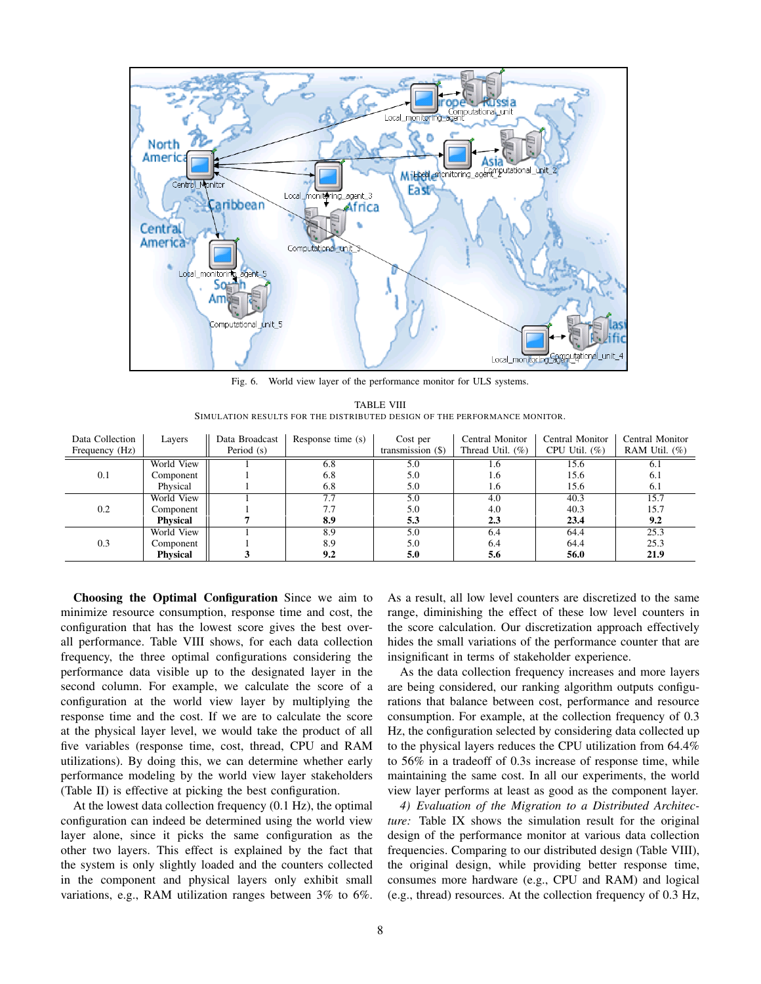

Fig. 6. World view layer of the performance monitor for ULS systems.

|                                                                           | <b>TABLE VIII</b> |  |
|---------------------------------------------------------------------------|-------------------|--|
| SIMULATION RESULTS FOR THE DISTRIBUTED DESIGN OF THE PERFORMANCE MONITOR. |                   |  |

| Data Collection | Layers     | Data Broadcast | Response time (s) | Cost per           | Central Monitor     | Central Monitor   | Central Monitor   |
|-----------------|------------|----------------|-------------------|--------------------|---------------------|-------------------|-------------------|
| Frequency (Hz)  |            | Period (s)     |                   | transmission $($ ) | Thread Util. $(\%)$ | CPU Util. $(\% )$ | RAM Util. $(\% )$ |
|                 | World View |                | 6.8               | 5.0                | 1.6                 | 15.6              | 6.1               |
| 0.1             | Component  |                | 6.8               | 5.0                | 1.6                 | 15.6              | 6.1               |
|                 | Physical   |                | 6.8               | 5.0                | 1.6                 | 15.6              | 6.1               |
|                 | World View |                | 7.7               | 5.0                | 4.0                 | 40.3              | 15.7              |
| 0.2             | Component  |                | 7.7               | 5.0                | 4.0                 | 40.3              | 15.7              |
|                 | Physical   |                | 8.9               | 5.3                | 2.3                 | 23.4              | 9.2               |
|                 | World View |                | 8.9               | 5.0                | 6.4                 | 64.4              | 25.3              |
| 0.3             | Component  |                | 8.9               | 5.0                | 6.4                 | 64.4              | 25.3              |
|                 | Physical   |                | 9.2               | 5.0                | 5.6                 | 56.0              | 21.9              |

Choosing the Optimal Configuration Since we aim to minimize resource consumption, response time and cost, the configuration that has the lowest score gives the best overall performance. Table VIII shows, for each data collection frequency, the three optimal configurations considering the performance data visible up to the designated layer in the second column. For example, we calculate the score of a configuration at the world view layer by multiplying the response time and the cost. If we are to calculate the score at the physical layer level, we would take the product of all five variables (response time, cost, thread, CPU and RAM utilizations). By doing this, we can determine whether early performance modeling by the world view layer stakeholders (Table II) is effective at picking the best configuration.

At the lowest data collection frequency (0.1 Hz), the optimal configuration can indeed be determined using the world view layer alone, since it picks the same configuration as the other two layers. This effect is explained by the fact that the system is only slightly loaded and the counters collected in the component and physical layers only exhibit small variations, e.g., RAM utilization ranges between 3% to 6%. As a result, all low level counters are discretized to the same range, diminishing the effect of these low level counters in the score calculation. Our discretization approach effectively hides the small variations of the performance counter that are insignificant in terms of stakeholder experience.

As the data collection frequency increases and more layers are being considered, our ranking algorithm outputs configurations that balance between cost, performance and resource consumption. For example, at the collection frequency of 0.3 Hz, the configuration selected by considering data collected up to the physical layers reduces the CPU utilization from 64.4% to 56% in a tradeoff of 0.3s increase of response time, while maintaining the same cost. In all our experiments, the world view layer performs at least as good as the component layer.

*4) Evaluation of the Migration to a Distributed Architecture:* Table IX shows the simulation result for the original design of the performance monitor at various data collection frequencies. Comparing to our distributed design (Table VIII), the original design, while providing better response time, consumes more hardware (e.g., CPU and RAM) and logical (e.g., thread) resources. At the collection frequency of 0.3 Hz,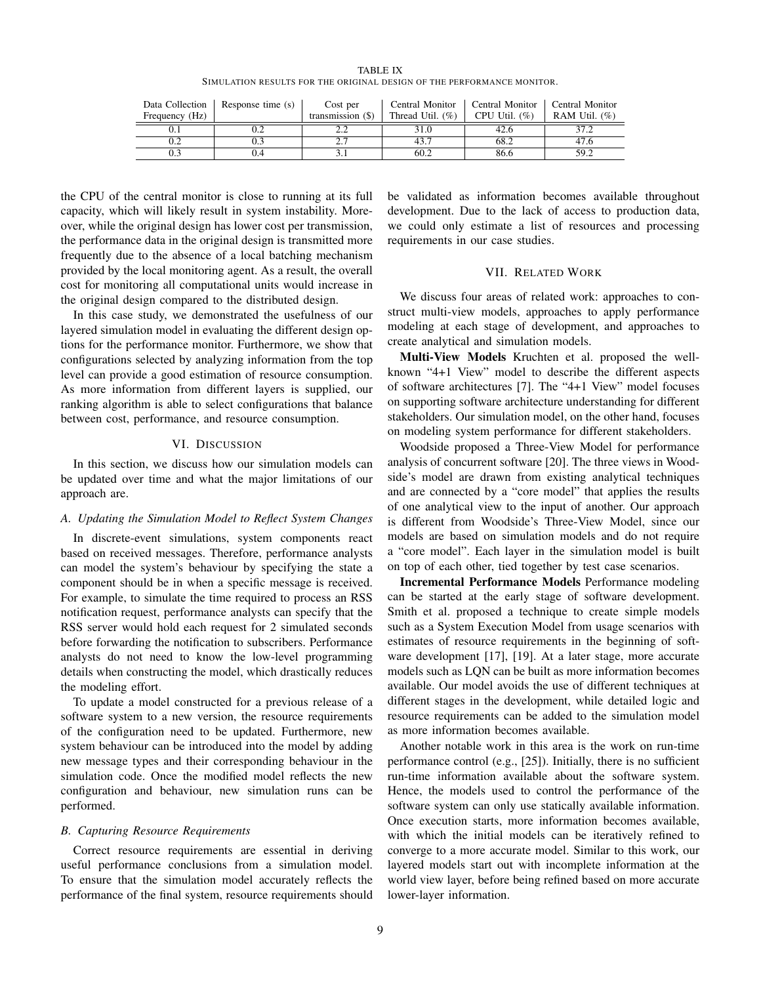TABLE IX SIMULATION RESULTS FOR THE ORIGINAL DESIGN OF THE PERFORMANCE MONITOR.

| Data Collection | Response time (s) | Cost per           | Central Monitor      | Central Monitor   | Central Monitor   |
|-----------------|-------------------|--------------------|----------------------|-------------------|-------------------|
| Frequency (Hz)  |                   | transmission $(S)$ | Thread Util. $(\% )$ | CPU Util. $(\% )$ | RAM Util. $(\% )$ |
|                 |                   |                    | 31.0                 | 42.6              |                   |
|                 |                   |                    | 43.7                 | 68.2              | 47.6              |
|                 | 0.4               |                    | 60.2                 | 86.6              | 59.2              |

the CPU of the central monitor is close to running at its full capacity, which will likely result in system instability. Moreover, while the original design has lower cost per transmission, the performance data in the original design is transmitted more frequently due to the absence of a local batching mechanism provided by the local monitoring agent. As a result, the overall cost for monitoring all computational units would increase in the original design compared to the distributed design.

In this case study, we demonstrated the usefulness of our layered simulation model in evaluating the different design options for the performance monitor. Furthermore, we show that configurations selected by analyzing information from the top level can provide a good estimation of resource consumption. As more information from different layers is supplied, our ranking algorithm is able to select configurations that balance between cost, performance, and resource consumption.

# VI. DISCUSSION

In this section, we discuss how our simulation models can be updated over time and what the major limitations of our approach are.

## *A. Updating the Simulation Model to Reflect System Changes*

In discrete-event simulations, system components react based on received messages. Therefore, performance analysts can model the system's behaviour by specifying the state a component should be in when a specific message is received. For example, to simulate the time required to process an RSS notification request, performance analysts can specify that the RSS server would hold each request for 2 simulated seconds before forwarding the notification to subscribers. Performance analysts do not need to know the low-level programming details when constructing the model, which drastically reduces the modeling effort.

To update a model constructed for a previous release of a software system to a new version, the resource requirements of the configuration need to be updated. Furthermore, new system behaviour can be introduced into the model by adding new message types and their corresponding behaviour in the simulation code. Once the modified model reflects the new configuration and behaviour, new simulation runs can be performed.

#### *B. Capturing Resource Requirements*

Correct resource requirements are essential in deriving useful performance conclusions from a simulation model. To ensure that the simulation model accurately reflects the performance of the final system, resource requirements should be validated as information becomes available throughout development. Due to the lack of access to production data, we could only estimate a list of resources and processing requirements in our case studies.

#### VII. RELATED WORK

We discuss four areas of related work: approaches to construct multi-view models, approaches to apply performance modeling at each stage of development, and approaches to create analytical and simulation models.

Multi-View Models Kruchten et al. proposed the wellknown "4+1 View" model to describe the different aspects of software architectures [7]. The "4+1 View" model focuses on supporting software architecture understanding for different stakeholders. Our simulation model, on the other hand, focuses on modeling system performance for different stakeholders.

Woodside proposed a Three-View Model for performance analysis of concurrent software [20]. The three views in Woodside's model are drawn from existing analytical techniques and are connected by a "core model" that applies the results of one analytical view to the input of another. Our approach is different from Woodside's Three-View Model, since our models are based on simulation models and do not require a "core model". Each layer in the simulation model is built on top of each other, tied together by test case scenarios.

Incremental Performance Models Performance modeling can be started at the early stage of software development. Smith et al. proposed a technique to create simple models such as a System Execution Model from usage scenarios with estimates of resource requirements in the beginning of software development [17], [19]. At a later stage, more accurate models such as LQN can be built as more information becomes available. Our model avoids the use of different techniques at different stages in the development, while detailed logic and resource requirements can be added to the simulation model as more information becomes available.

Another notable work in this area is the work on run-time performance control (e.g., [25]). Initially, there is no sufficient run-time information available about the software system. Hence, the models used to control the performance of the software system can only use statically available information. Once execution starts, more information becomes available, with which the initial models can be iteratively refined to converge to a more accurate model. Similar to this work, our layered models start out with incomplete information at the world view layer, before being refined based on more accurate lower-layer information.